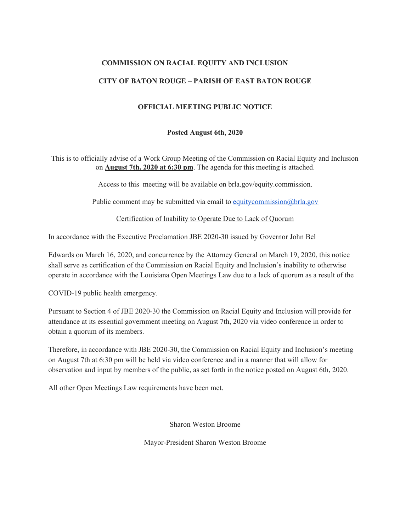### **COMMISSION ON RACIAL EQUITY AND INCLUSION**

### **CITY OF BATON ROUGE – PARISH OF EAST BATON ROUGE**

## **OFFICIAL MEETING PUBLIC NOTICE**

#### **Posted August 6th, 2020**

This is to officially advise of a Work Group Meeting of the Commission on Racial Equity and Inclusion on **August 7th, 2020 at 6:30 pm**. The agenda for this meeting is attached.

Access to this meeting will be available on brla.gov/equity.commission.

Public comment may be submitted via email to [equitycommission@brla.gov](mailto:equitycommission@brla.gov)

Certification of Inability to Operate Due to Lack of Quorum

In accordance with the Executive Proclamation JBE 2020-30 issued by Governor John Bel

Edwards on March 16, 2020, and concurrence by the Attorney General on March 19, 2020, this notice shall serve as certification of the Commission on Racial Equity and Inclusion's inability to otherwise operate in accordance with the Louisiana Open Meetings Law due to a lack of quorum as a result of the

COVID-19 public health emergency.

Pursuant to Section 4 of JBE 2020-30 the Commission on Racial Equity and Inclusion will provide for attendance at its essential government meeting on August 7th, 2020 via video conference in order to obtain a quorum of its members.

Therefore, in accordance with JBE 2020-30, the Commission on Racial Equity and Inclusion's meeting on August 7th at 6:30 pm will be held via video conference and in a manner that will allow for observation and input by members of the public, as set forth in the notice posted on August 6th, 2020.

All other Open Meetings Law requirements have been met.

Sharon Weston Broome

Mayor-President Sharon Weston Broome